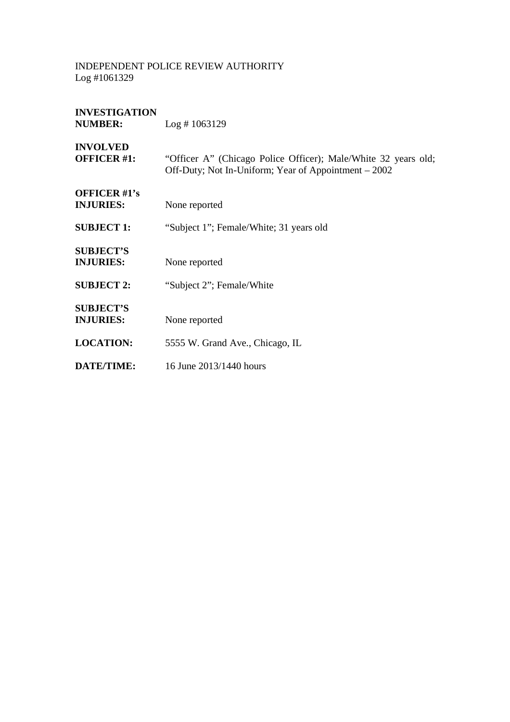| <b>INVESTIGATION</b><br><b>NUMBER:</b>  | Log # 1063129                                                                                                          |
|-----------------------------------------|------------------------------------------------------------------------------------------------------------------------|
| <b>INVOLVED</b><br><b>OFFICER #1:</b>   | "Officer A" (Chicago Police Officer); Male/White 32 years old;<br>Off-Duty; Not In-Uniform; Year of Appointment – 2002 |
| <b>OFFICER #1's</b><br><b>INJURIES:</b> | None reported                                                                                                          |
| <b>SUBJECT 1:</b>                       | "Subject 1"; Female/White; 31 years old                                                                                |
| <b>SUBJECT'S</b><br><b>INJURIES:</b>    | None reported                                                                                                          |
| <b>SUBJECT 2:</b>                       | "Subject 2"; Female/White                                                                                              |
| <b>SUBJECT'S</b><br><b>INJURIES:</b>    | None reported                                                                                                          |
| <b>LOCATION:</b>                        | 5555 W. Grand Ave., Chicago, IL                                                                                        |
| DATE/TIME:                              | 16 June 2013/1440 hours                                                                                                |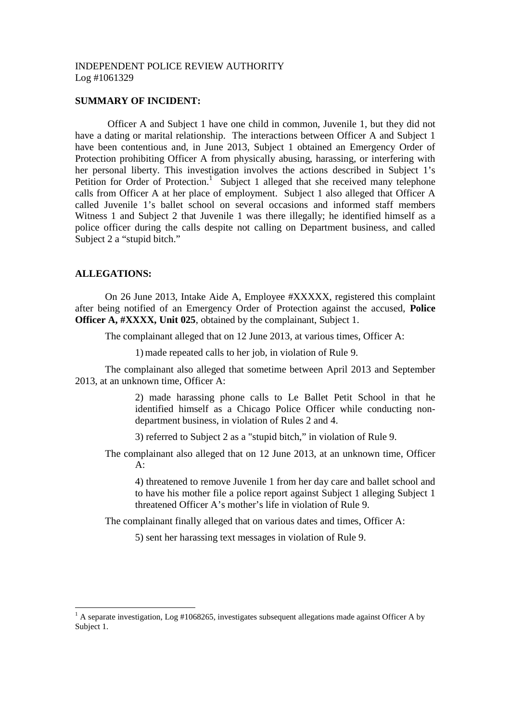### **SUMMARY OF INCIDENT:**

Officer A and Subject 1 have one child in common, Juvenile 1, but they did not have a dating or marital relationship. The interactions between Officer A and Subject 1 have been contentious and, in June 2013, Subject 1 obtained an Emergency Order of Protection prohibiting Officer A from physically abusing, harassing, or interfering with her personal liberty. This investigation involves the actions described in Subject 1's Petition for Order of Protection.<sup>1</sup> Subject 1 alleged that she received many telephone calls from Officer A at her place of employment. Subject 1 also alleged that Officer A called Juvenile 1's ballet school on several occasions and informed staff members Witness 1 and Subject 2 that Juvenile 1 was there illegally; he identified himself as a police officer during the calls despite not calling on Department business, and called Subject 2 a "stupid bitch."

## **ALLEGATIONS:**

On 26 June 2013, Intake Aide A, Employee #XXXXX, registered this complaint after being notified of an Emergency Order of Protection against the accused, **Police Officer A, #XXXX, Unit 025**, obtained by the complainant, Subject 1.

The complainant alleged that on 12 June 2013, at various times, Officer A:

1) made repeated calls to her job, in violation of Rule 9.

The complainant also alleged that sometime between April 2013 and September 2013, at an unknown time, Officer A:

> 2) made harassing phone calls to Le Ballet Petit School in that he identified himself as a Chicago Police Officer while conducting nondepartment business, in violation of Rules 2 and 4.

3) referred to Subject 2 as a "stupid bitch," in violation of Rule 9.

The complainant also alleged that on 12 June 2013, at an unknown time, Officer  $A$ :

4) threatened to remove Juvenile 1 from her day care and ballet school and to have his mother file a police report against Subject 1 alleging Subject 1 threatened Officer A's mother's life in violation of Rule 9.

The complainant finally alleged that on various dates and times, Officer A:

5) sent her harassing text messages in violation of Rule 9.

 $<sup>1</sup>$  A separate investigation, Log #1068265, investigates subsequent allegations made against Officer A by</sup> Subject 1.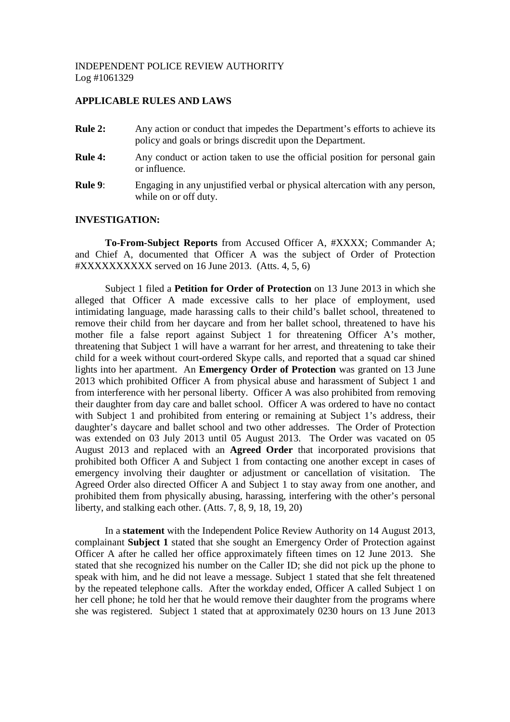# **APPLICABLE RULES AND LAWS**

- **Rule 2:** Any action or conduct that impedes the Department's efforts to achieve its policy and goals or brings discredit upon the Department. **Rule 4:** Any conduct or action taken to use the official position for personal gain or influence.
- **Rule 9:** Engaging in any unjustified verbal or physical altercation with any person, while on or off duty.

## **INVESTIGATION:**

**To-From-Subject Reports** from Accused Officer A, #XXXX; Commander A; and Chief A, documented that Officer A was the subject of Order of Protection #XXXXXXXXXX served on 16 June 2013. (Atts. 4, 5, 6)

Subject 1 filed a **Petition for Order of Protection** on 13 June 2013 in which she alleged that Officer A made excessive calls to her place of employment, used intimidating language, made harassing calls to their child's ballet school, threatened to remove their child from her daycare and from her ballet school, threatened to have his mother file a false report against Subject 1 for threatening Officer A's mother, threatening that Subject 1 will have a warrant for her arrest, and threatening to take their child for a week without court-ordered Skype calls, and reported that a squad car shined lights into her apartment. An **Emergency Order of Protection** was granted on 13 June 2013 which prohibited Officer A from physical abuse and harassment of Subject 1 and from interference with her personal liberty. Officer A was also prohibited from removing their daughter from day care and ballet school. Officer A was ordered to have no contact with Subject 1 and prohibited from entering or remaining at Subject 1's address, their daughter's daycare and ballet school and two other addresses. The Order of Protection was extended on 03 July 2013 until 05 August 2013. The Order was vacated on 05 August 2013 and replaced with an **Agreed Order** that incorporated provisions that prohibited both Officer A and Subject 1 from contacting one another except in cases of emergency involving their daughter or adjustment or cancellation of visitation. The Agreed Order also directed Officer A and Subject 1 to stay away from one another, and prohibited them from physically abusing, harassing, interfering with the other's personal liberty, and stalking each other. (Atts. 7, 8, 9, 18, 19, 20)

In a **statement** with the Independent Police Review Authority on 14 August 2013, complainant **Subject 1** stated that she sought an Emergency Order of Protection against Officer A after he called her office approximately fifteen times on 12 June 2013. She stated that she recognized his number on the Caller ID; she did not pick up the phone to speak with him, and he did not leave a message. Subject 1 stated that she felt threatened by the repeated telephone calls. After the workday ended, Officer A called Subject 1 on her cell phone; he told her that he would remove their daughter from the programs where she was registered. Subject 1 stated that at approximately 0230 hours on 13 June 2013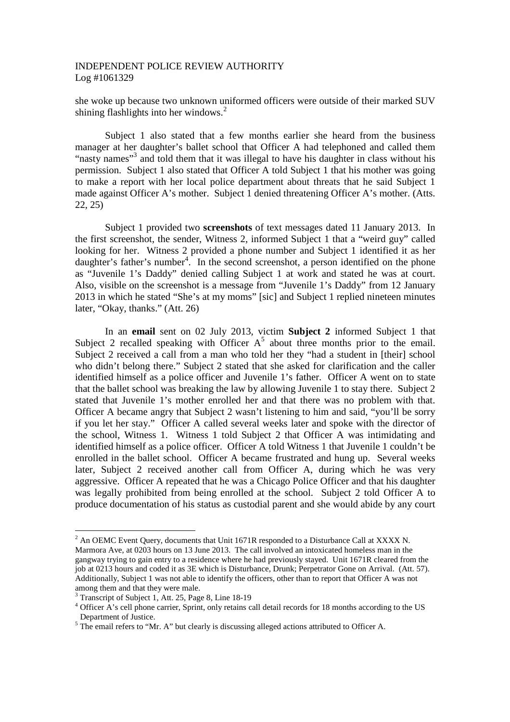she woke up because two unknown uniformed officers were outside of their marked SUV shining flashlights into her windows.<sup>2</sup>

Subject 1 also stated that a few months earlier she heard from the business manager at her daughter's ballet school that Officer A had telephoned and called them "nasty names"<sup>3</sup> and told them that it was illegal to have his daughter in class without his permission. Subject 1 also stated that Officer A told Subject 1 that his mother was going to make a report with her local police department about threats that he said Subject 1 made against Officer A's mother. Subject 1 denied threatening Officer A's mother. (Atts. 22, 25)

Subject 1 provided two **screenshots** of text messages dated 11 January 2013. In the first screenshot, the sender, Witness 2, informed Subject 1 that a "weird guy" called looking for her. Witness 2 provided a phone number and Subject 1 identified it as her daughter's father's number<sup>4</sup>. In the second screenshot, a person identified on the phone as "Juvenile 1's Daddy" denied calling Subject 1 at work and stated he was at court. Also, visible on the screenshot is a message from "Juvenile 1's Daddy" from 12 January 2013 in which he stated "She's at my moms" [sic] and Subject 1 replied nineteen minutes later, "Okay, thanks." (Att. 26)

In an **email** sent on 02 July 2013, victim **Subject 2** informed Subject 1 that Subject 2 recalled speaking with Officer  $A<sup>5</sup>$  about three months prior to the email. Subject 2 received a call from a man who told her they "had a student in [their] school who didn't belong there." Subject 2 stated that she asked for clarification and the caller identified himself as a police officer and Juvenile 1's father. Officer A went on to state that the ballet school was breaking the law by allowing Juvenile 1 to stay there. Subject 2 stated that Juvenile 1's mother enrolled her and that there was no problem with that. Officer A became angry that Subject 2 wasn't listening to him and said, "you'll be sorry if you let her stay." Officer A called several weeks later and spoke with the director of the school, Witness 1. Witness 1 told Subject 2 that Officer A was intimidating and identified himself as a police officer. Officer A told Witness 1 that Juvenile 1 couldn't be enrolled in the ballet school. Officer A became frustrated and hung up. Several weeks later, Subject 2 received another call from Officer A, during which he was very aggressive. Officer A repeated that he was a Chicago Police Officer and that his daughter was legally prohibited from being enrolled at the school. Subject 2 told Officer A to produce documentation of his status as custodial parent and she would abide by any court

<sup>&</sup>lt;sup>2</sup> An OEMC Event Query, documents that Unit 1671R responded to a Disturbance Call at XXXX N. Marmora Ave, at 0203 hours on 13 June 2013. The call involved an intoxicated homeless man in the gangway trying to gain entry to a residence where he had previously stayed. Unit 1671R cleared from the job at 0213 hours and coded it as 3E which is Disturbance, Drunk; Perpetrator Gone on Arrival. (Att. 57). Additionally, Subject 1 was not able to identify the officers, other than to report that Officer A was not among them and that they were male.

<sup>3</sup> Transcript of Subject 1, Att. 25, Page 8, Line 18-19

<sup>&</sup>lt;sup>4</sup> Officer A's cell phone carrier, Sprint, only retains call detail records for 18 months according to the US Department of Justice.

 $5$  The email refers to "Mr. A" but clearly is discussing alleged actions attributed to Officer A.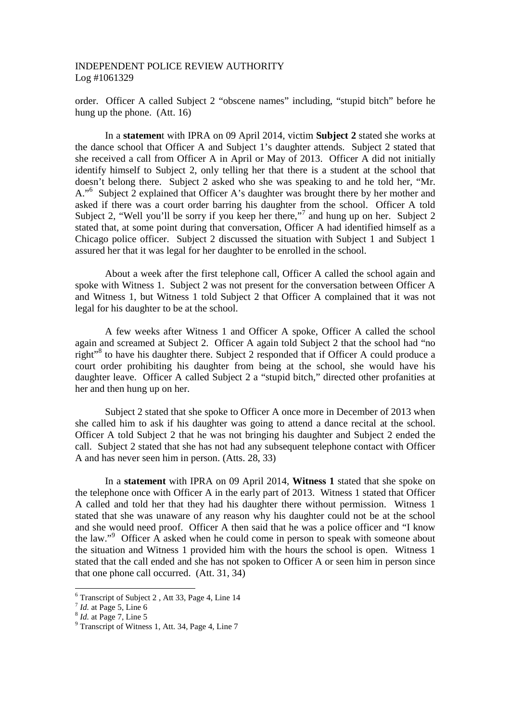order. Officer A called Subject 2 "obscene names" including, "stupid bitch" before he hung up the phone. (Att. 16)

In a **statemen**t with IPRA on 09 April 2014, victim **Subject 2** stated she works at the dance school that Officer A and Subject 1's daughter attends. Subject 2 stated that she received a call from Officer A in April or May of 2013. Officer A did not initially identify himself to Subject 2, only telling her that there is a student at the school that doesn't belong there. Subject 2 asked who she was speaking to and he told her, "Mr. A."<sup>6</sup> Subject 2 explained that Officer A's daughter was brought there by her mother and asked if there was a court order barring his daughter from the school. Officer A told Subject 2, "Well you'll be sorry if you keep her there,"<sup>7</sup> and hung up on her. Subject 2 stated that, at some point during that conversation, Officer A had identified himself as a Chicago police officer. Subject 2 discussed the situation with Subject 1 and Subject 1 assured her that it was legal for her daughter to be enrolled in the school.

About a week after the first telephone call, Officer A called the school again and spoke with Witness 1. Subject 2 was not present for the conversation between Officer A and Witness 1, but Witness 1 told Subject 2 that Officer A complained that it was not legal for his daughter to be at the school.

A few weeks after Witness 1 and Officer A spoke, Officer A called the school again and screamed at Subject 2. Officer A again told Subject 2 that the school had "no right<sup>38</sup> to have his daughter there. Subject 2 responded that if Officer A could produce a court order prohibiting his daughter from being at the school, she would have his daughter leave. Officer A called Subject 2 a "stupid bitch," directed other profanities at her and then hung up on her.

Subject 2 stated that she spoke to Officer A once more in December of 2013 when she called him to ask if his daughter was going to attend a dance recital at the school. Officer A told Subject 2 that he was not bringing his daughter and Subject 2 ended the call. Subject 2 stated that she has not had any subsequent telephone contact with Officer A and has never seen him in person. (Atts. 28, 33)

In a **statement** with IPRA on 09 April 2014, **Witness 1** stated that she spoke on the telephone once with Officer A in the early part of 2013. Witness 1 stated that Officer A called and told her that they had his daughter there without permission. Witness 1 stated that she was unaware of any reason why his daughter could not be at the school and she would need proof. Officer A then said that he was a police officer and "I know the law."<sup>9</sup> Officer A asked when he could come in person to speak with someone about the situation and Witness 1 provided him with the hours the school is open. Witness 1 stated that the call ended and she has not spoken to Officer A or seen him in person since that one phone call occurred. (Att. 31, 34)

<sup>6</sup> Transcript of Subject 2 , Att 33, Page 4, Line 14

 $<sup>7</sup>$  *Id.* at Page 5, Line 6</sup>

<sup>8</sup> *Id.* at Page 7, Line 5

<sup>&</sup>lt;sup>9</sup> Transcript of Witness 1, Att. 34, Page 4, Line 7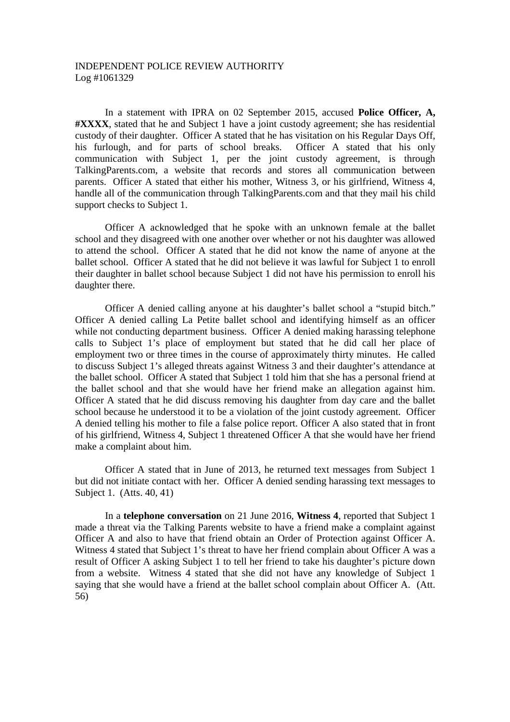In a statement with IPRA on 02 September 2015, accused **Police Officer, A, #XXXX**, stated that he and Subject 1 have a joint custody agreement; she has residential custody of their daughter. Officer A stated that he has visitation on his Regular Days Off, his furlough, and for parts of school breaks. Officer A stated that his only communication with Subject 1, per the joint custody agreement, is through TalkingParents.com, a website that records and stores all communication between parents. Officer A stated that either his mother, Witness 3, or his girlfriend, Witness 4, handle all of the communication through TalkingParents.com and that they mail his child support checks to Subject 1.

Officer A acknowledged that he spoke with an unknown female at the ballet school and they disagreed with one another over whether or not his daughter was allowed to attend the school. Officer A stated that he did not know the name of anyone at the ballet school. Officer A stated that he did not believe it was lawful for Subject 1 to enroll their daughter in ballet school because Subject 1 did not have his permission to enroll his daughter there.

Officer A denied calling anyone at his daughter's ballet school a "stupid bitch." Officer A denied calling La Petite ballet school and identifying himself as an officer while not conducting department business. Officer A denied making harassing telephone calls to Subject 1's place of employment but stated that he did call her place of employment two or three times in the course of approximately thirty minutes. He called to discuss Subject 1's alleged threats against Witness 3 and their daughter's attendance at the ballet school. Officer A stated that Subject 1 told him that she has a personal friend at the ballet school and that she would have her friend make an allegation against him. Officer A stated that he did discuss removing his daughter from day care and the ballet school because he understood it to be a violation of the joint custody agreement. Officer A denied telling his mother to file a false police report. Officer A also stated that in front of his girlfriend, Witness 4, Subject 1 threatened Officer A that she would have her friend make a complaint about him.

Officer A stated that in June of 2013, he returned text messages from Subject 1 but did not initiate contact with her. Officer A denied sending harassing text messages to Subject 1. (Atts. 40, 41)

In a **telephone conversation** on 21 June 2016, **Witness 4**, reported that Subject 1 made a threat via the Talking Parents website to have a friend make a complaint against Officer A and also to have that friend obtain an Order of Protection against Officer A. Witness 4 stated that Subject 1's threat to have her friend complain about Officer A was a result of Officer A asking Subject 1 to tell her friend to take his daughter's picture down from a website. Witness 4 stated that she did not have any knowledge of Subject 1 saying that she would have a friend at the ballet school complain about Officer A. (Att. 56)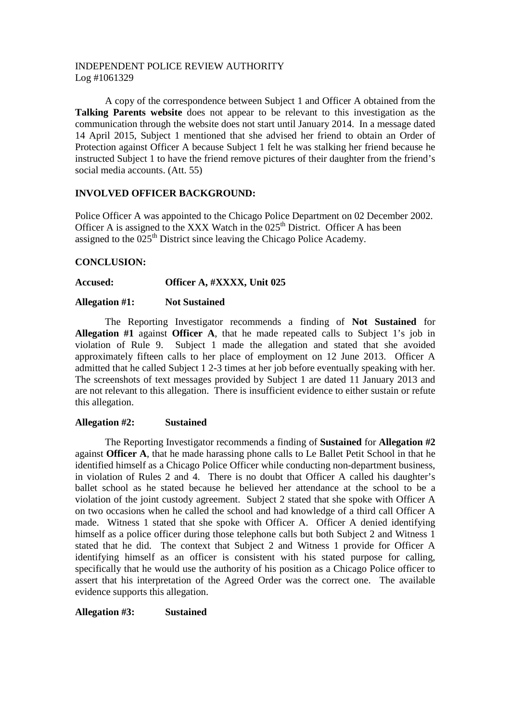A copy of the correspondence between Subject 1 and Officer A obtained from the **Talking Parents website** does not appear to be relevant to this investigation as the communication through the website does not start until January 2014. In a message dated 14 April 2015, Subject 1 mentioned that she advised her friend to obtain an Order of Protection against Officer A because Subject 1 felt he was stalking her friend because he instructed Subject 1 to have the friend remove pictures of their daughter from the friend's social media accounts. (Att. 55)

# **INVOLVED OFFICER BACKGROUND:**

Police Officer A was appointed to the Chicago Police Department on 02 December 2002. Officer A is assigned to the XXX Watch in the  $025<sup>th</sup>$  District. Officer A has been assigned to the  $025<sup>th</sup>$  District since leaving the Chicago Police Academy.

# **CONCLUSION:**

**Accused: Officer A, #XXXX, Unit 025**

## **Allegation #1: Not Sustained**

The Reporting Investigator recommends a finding of **Not Sustained** for **Allegation #1** against **Officer A**, that he made repeated calls to Subject 1's job in violation of Rule 9. Subject 1 made the allegation and stated that she avoided approximately fifteen calls to her place of employment on 12 June 2013. Officer A admitted that he called Subject 1 2-3 times at her job before eventually speaking with her. The screenshots of text messages provided by Subject 1 are dated 11 January 2013 and are not relevant to this allegation. There is insufficient evidence to either sustain or refute this allegation.

# **Allegation #2: Sustained**

The Reporting Investigator recommends a finding of **Sustained** for **Allegation #2** against **Officer A**, that he made harassing phone calls to Le Ballet Petit School in that he identified himself as a Chicago Police Officer while conducting non-department business, in violation of Rules 2 and 4. There is no doubt that Officer A called his daughter's ballet school as he stated because he believed her attendance at the school to be a violation of the joint custody agreement. Subject 2 stated that she spoke with Officer A on two occasions when he called the school and had knowledge of a third call Officer A made. Witness 1 stated that she spoke with Officer A. Officer A denied identifying himself as a police officer during those telephone calls but both Subject 2 and Witness 1 stated that he did. The context that Subject 2 and Witness 1 provide for Officer A identifying himself as an officer is consistent with his stated purpose for calling, specifically that he would use the authority of his position as a Chicago Police officer to assert that his interpretation of the Agreed Order was the correct one. The available evidence supports this allegation.

**Allegation #3: Sustained**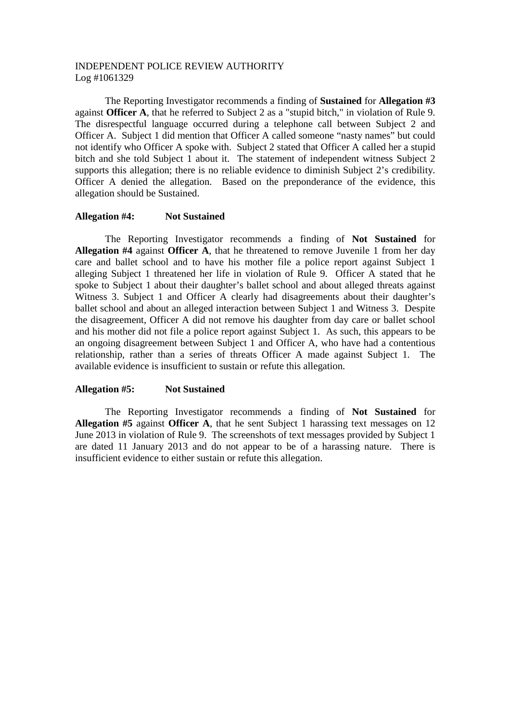The Reporting Investigator recommends a finding of **Sustained** for **Allegation #3** against **Officer A**, that he referred to Subject 2 as a "stupid bitch," in violation of Rule 9. The disrespectful language occurred during a telephone call between Subject 2 and Officer A. Subject 1 did mention that Officer A called someone "nasty names" but could not identify who Officer A spoke with. Subject 2 stated that Officer A called her a stupid bitch and she told Subject 1 about it. The statement of independent witness Subject 2 supports this allegation; there is no reliable evidence to diminish Subject 2's credibility. Officer A denied the allegation. Based on the preponderance of the evidence, this allegation should be Sustained.

### **Allegation #4: Not Sustained**

The Reporting Investigator recommends a finding of **Not Sustained** for **Allegation #4** against **Officer A**, that he threatened to remove Juvenile 1 from her day care and ballet school and to have his mother file a police report against Subject 1 alleging Subject 1 threatened her life in violation of Rule 9. Officer A stated that he spoke to Subject 1 about their daughter's ballet school and about alleged threats against Witness 3. Subject 1 and Officer A clearly had disagreements about their daughter's ballet school and about an alleged interaction between Subject 1 and Witness 3. Despite the disagreement, Officer A did not remove his daughter from day care or ballet school and his mother did not file a police report against Subject 1. As such, this appears to be an ongoing disagreement between Subject 1 and Officer A, who have had a contentious relationship, rather than a series of threats Officer A made against Subject 1. The available evidence is insufficient to sustain or refute this allegation.

## **Allegation #5: Not Sustained**

The Reporting Investigator recommends a finding of **Not Sustained** for **Allegation #5** against **Officer A**, that he sent Subject 1 harassing text messages on 12 June 2013 in violation of Rule 9. The screenshots of text messages provided by Subject 1 are dated 11 January 2013 and do not appear to be of a harassing nature. There is insufficient evidence to either sustain or refute this allegation.